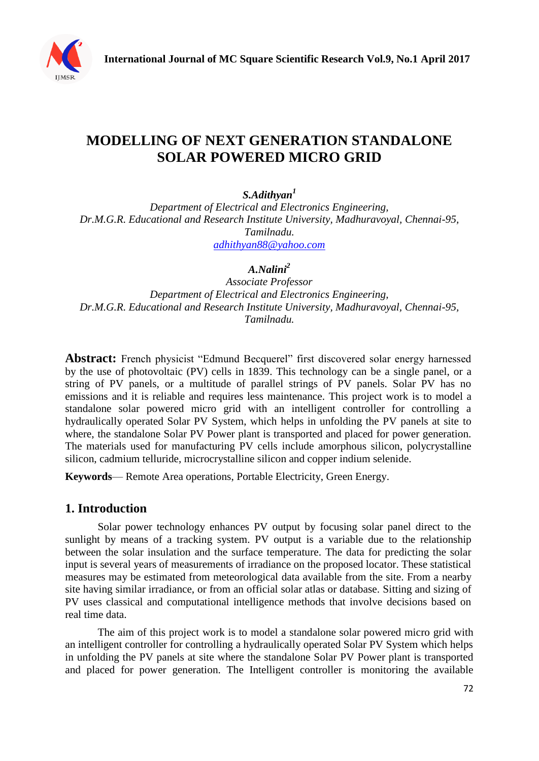

# **MODELLING OF NEXT GENERATION STANDALONE SOLAR POWERED MICRO GRID**

*S.Adithyan<sup>1</sup>*

*Department of Electrical and Electronics Engineering, Dr.M.G.R. Educational and Research Institute University, Madhuravoyal, Chennai-95, Tamilnadu. [adhithyan88@yahoo.com](mailto:adhithyan88@yahoo.com)*

*A.Nalini<sup>2</sup>*

*Associate Professor Department of Electrical and Electronics Engineering, Dr.M.G.R. Educational and Research Institute University, Madhuravoyal, Chennai-95, Tamilnadu.*

Abstract: French physicist "Edmund Becquerel" first discovered solar energy harnessed by the use of photovoltaic (PV) cells in 1839. This technology can be a single panel, or a string of PV panels, or a multitude of parallel strings of PV panels. Solar PV has no emissions and it is reliable and requires less maintenance. This project work is to model a standalone solar powered micro grid with an intelligent controller for controlling a hydraulically operated Solar PV System, which helps in unfolding the PV panels at site to where, the standalone Solar PV Power plant is transported and placed for power generation. The materials used for manufacturing PV cells include amorphous silicon, polycrystalline silicon, cadmium telluride, microcrystalline silicon and copper indium selenide.

**Keywords**— Remote Area operations, Portable Electricity, Green Energy.

### **1. Introduction**

Solar power technology enhances PV output by focusing solar panel direct to the sunlight by means of a tracking system. PV output is a variable due to the relationship between the solar insulation and the surface temperature. The data for predicting the solar input is several years of measurements of irradiance on the proposed locator. These statistical measures may be estimated from meteorological data available from the site. From a nearby site having similar irradiance, or from an official solar atlas or database. Sitting and sizing of PV uses classical and computational intelligence methods that involve decisions based on real time data.

The aim of this project work is to model a standalone solar powered micro grid with an intelligent controller for controlling a hydraulically operated Solar PV System which helps in unfolding the PV panels at site where the standalone Solar PV Power plant is transported and placed for power generation. The Intelligent controller is monitoring the available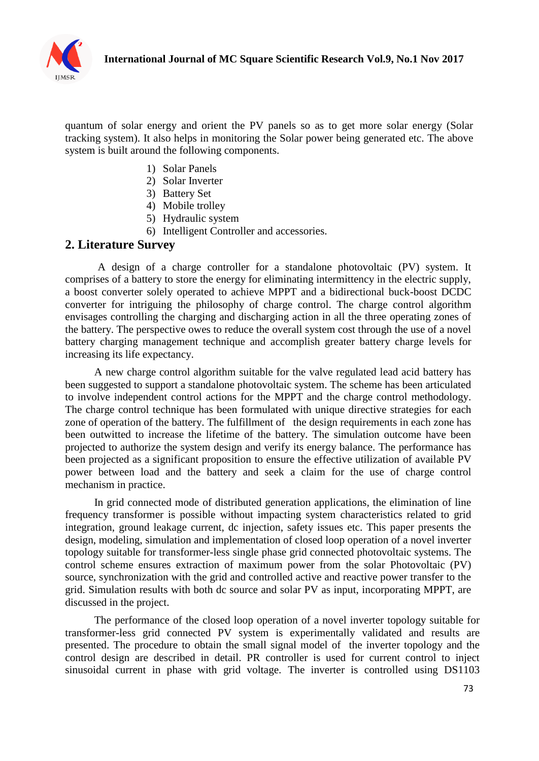

quantum of solar energy and orient the PV panels so as to get more solar energy (Solar tracking system). It also helps in monitoring the Solar power being generated etc. The above system is built around the following components.

- 1) Solar Panels
- 2) Solar Inverter
- 3) Battery Set
- 4) Mobile trolley
- 5) Hydraulic system
- 6) Intelligent Controller and accessories.

### **2. Literature Survey**

A design of a charge controller for a standalone photovoltaic (PV) system. It comprises of a battery to store the energy for eliminating intermittency in the electric supply, a boost converter solely operated to achieve MPPT and a bidirectional buck-boost DCDC converter for intriguing the philosophy of charge control. The charge control algorithm envisages controlling the charging and discharging action in all the three operating zones of the battery. The perspective owes to reduce the overall system cost through the use of a novel battery charging management technique and accomplish greater battery charge levels for increasing its life expectancy.

A new charge control algorithm suitable for the valve regulated lead acid battery has been suggested to support a standalone photovoltaic system. The scheme has been articulated to involve independent control actions for the MPPT and the charge control methodology. The charge control technique has been formulated with unique directive strategies for each zone of operation of the battery. The fulfillment of the design requirements in each zone has been outwitted to increase the lifetime of the battery. The simulation outcome have been projected to authorize the system design and verify its energy balance. The performance has been projected as a significant proposition to ensure the effective utilization of available PV power between load and the battery and seek a claim for the use of charge control mechanism in practice.

In grid connected mode of distributed generation applications, the elimination of line frequency transformer is possible without impacting system characteristics related to grid integration, ground leakage current, dc injection, safety issues etc. This paper presents the design, modeling, simulation and implementation of closed loop operation of a novel inverter topology suitable for transformer-less single phase grid connected photovoltaic systems. The control scheme ensures extraction of maximum power from the solar Photovoltaic (PV) source, synchronization with the grid and controlled active and reactive power transfer to the grid. Simulation results with both dc source and solar PV as input, incorporating MPPT, are discussed in the project.

The performance of the closed loop operation of a novel inverter topology suitable for transformer-less grid connected PV system is experimentally validated and results are presented. The procedure to obtain the small signal model of the inverter topology and the control design are described in detail. PR controller is used for current control to inject sinusoidal current in phase with grid voltage. The inverter is controlled using DS1103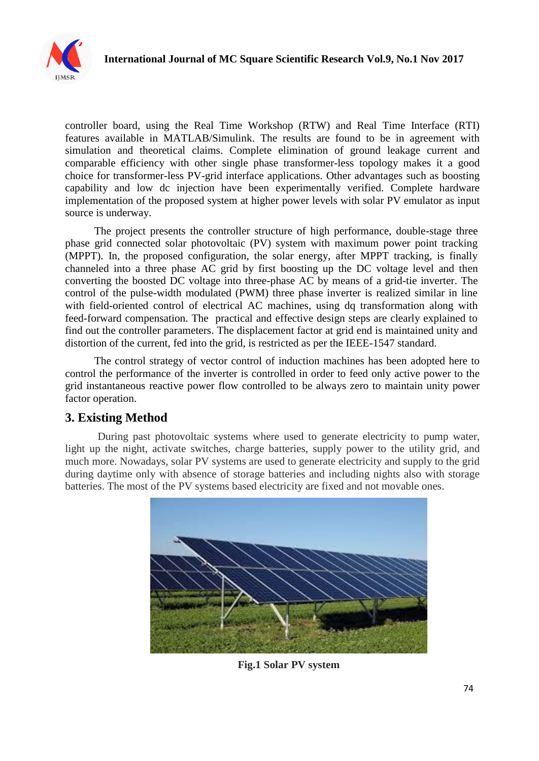

controller board, using the Real Time Workshop (RTW) and Real Time Interface (RTI) features available in MATLAB/Simulink. The results are found to be in agreement with simulation and theoretical claims. Complete elimination of ground leakage current and comparable efficiency with other single phase transformer-less topology makes it a good choice for transformer-less PV-grid interface applications. Other advantages such as boosting capability and low dc injection have been experimentally verified. Complete hardware implementation of the proposed system at higher power levels with solar PV emulator as input source is underway.

The project presents the controller structure of high performance, double-stage three phase grid connected solar photovoltaic (PV) system with maximum power point tracking (MPPT). In, the proposed configuration, the solar energy, after MPPT tracking, is finally channeled into a three phase AC grid by first boosting up the DC voltage level and then converting the boosted DC voltage into three-phase AC by means of a grid-tie inverter. The control of the pulse-width modulated (PWM) three phase inverter is realized similar in line with field-oriented control of electrical AC machines, using dq transformation along with feed-forward compensation. The practical and effective design steps are clearly explained to find out the controller parameters. The displacement factor at grid end is maintained unity and distortion of the current, fed into the grid, is restricted as per the IEEE-1547 standard.

The control strategy of vector control of induction machines has been adopted here to control the performance of the inverter is controlled in order to feed only active power to the grid instantaneous reactive power flow controlled to be always zero to maintain unity power factor operation.

## **3. Existing Method**

During past photovoltaic systems where used to generate electricity to pump water, light up the night, activate switches, charge batteries, supply power to the utility grid, and much more. Nowadays, solar PV systems are used to generate electricity and supply to the grid during daytime only with absence of storage batteries and including nights also with storage batteries. The most of the PV systems based electricity are fixed and not movable ones.



**Fig.1 Solar PV system**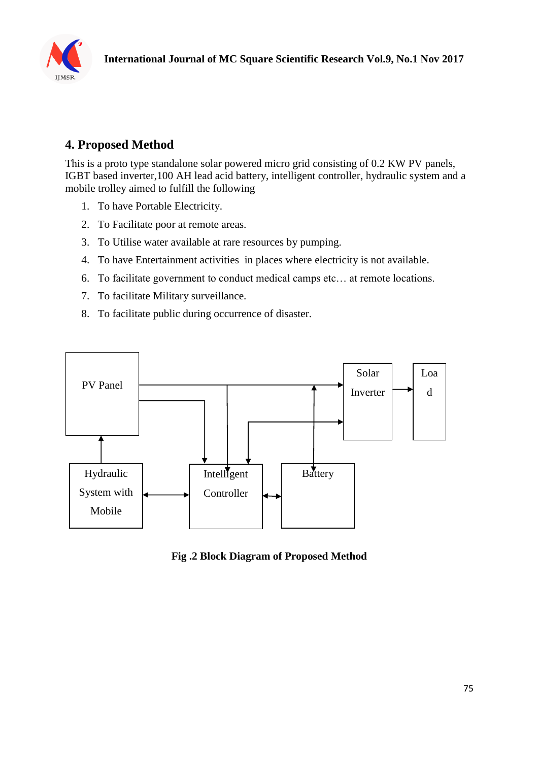

# **4. Proposed Method**

This is a proto type standalone solar powered micro grid consisting of 0.2 KW PV panels, IGBT based inverter,100 AH lead acid battery, intelligent controller, hydraulic system and a mobile trolley aimed to fulfill the following

- 1. To have Portable Electricity.
- 2. To Facilitate poor at remote areas.
- 3. To Utilise water available at rare resources by pumping.
- 4. To have Entertainment activities in places where electricity is not available.
- 6. To facilitate government to conduct medical camps etc… at remote locations.
- 7. To facilitate Military surveillance.
- 8. To facilitate public during occurrence of disaster.



**Fig .2 Block Diagram of Proposed Method**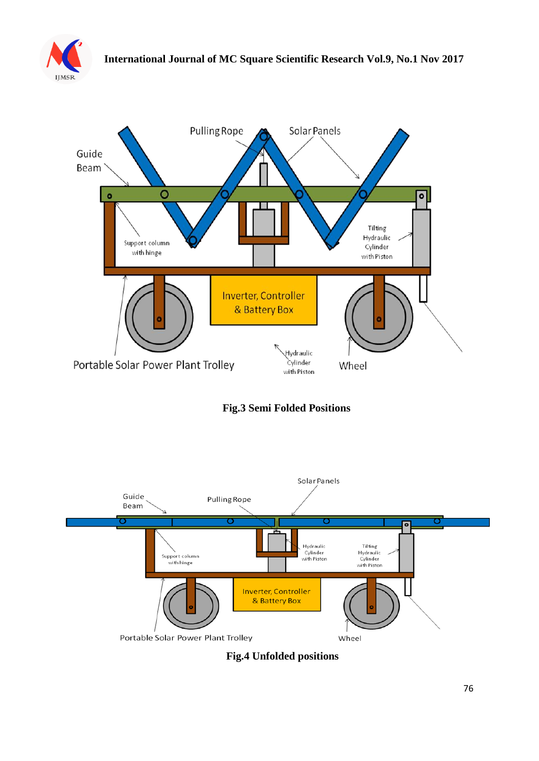



**Fig.3 Semi Folded Positions**



**Fig.4 Unfolded positions**